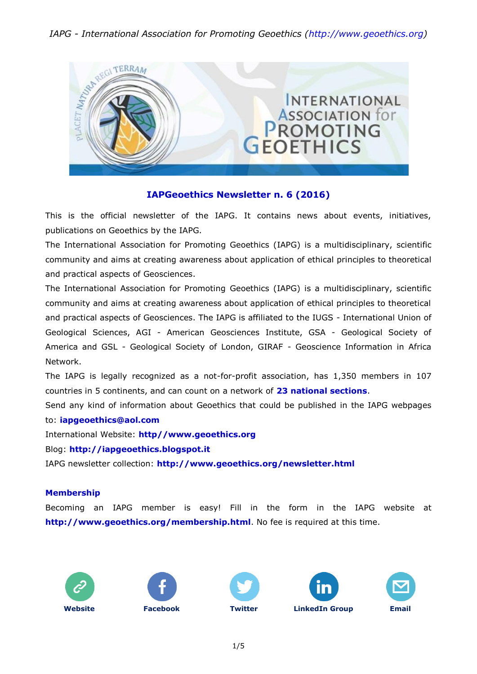### *IAPG - International Association for Promoting Geoethics [\(http://www.geoethics.org\)](http://www.geoethics.org/)*



### **IAPGeoethics Newsletter n. 6 (2016)**

This is the official newsletter of the IAPG. It contains news about events, initiatives, publications on Geoethics by the IAPG.

The International Association for Promoting Geoethics (IAPG) is a multidisciplinary, scientific community and aims at creating awareness about application of ethical principles to theoretical and practical aspects of Geosciences.

The International Association for Promoting Geoethics (IAPG) is a multidisciplinary, scientific community and aims at creating awareness about application of ethical principles to theoretical and practical aspects of Geosciences. The IAPG is affiliated to the IUGS - International Union of Geological Sciences, AGI - American Geosciences Institute, GSA - Geological Society of America and GSL - Geological Society of London, GIRAF - Geoscience Information in Africa Network.

The IAPG is legally recognized as a not-for-profit association, has 1,350 members in 107 countries in 5 continents, and can count on a network of **[23 national sections](http://www.geoethics.org/sections.html)**.

Send any kind of information about Geoethics that could be published in the IAPG webpages to: **[iapgeoethics@aol.com](mailto:iapgeoethics@aol.com?subject=IAPG%20newsletter)**

International Website: **[http//www.geoethics.org](http://www.geoethics.org/)**

Blog: **[http://iapgeoethics.blogspot.it](http://iapgeoethics.blogspot.it/)**

IAPG newsletter collection: **<http://www.geoethics.org/newsletter.html>**

#### **Membership**

Becoming an IAPG member is easy! Fill in the form in the IAPG website at **<http://www.geoethics.org/membership.html>**. No fee is required at this time.









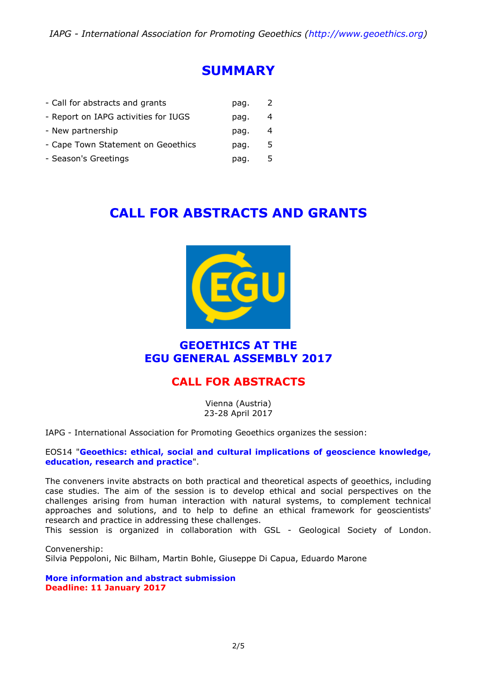### **SUMMARY**

| - Call for abstracts and grants      | pag. |    |
|--------------------------------------|------|----|
| - Report on IAPG activities for IUGS | pag. | 4  |
| - New partnership                    | pag. | 4  |
| - Cape Town Statement on Geoethics   | pag. | 5. |
| - Season's Greetings                 | pag. | 5  |
|                                      |      |    |

# **CALL FOR ABSTRACTS AND GRANTS**



### **GEOETHICS AT THE EGU GENERAL ASSEMBLY 2017**

### **CALL FOR ABSTRACTS**

Vienna (Austria) 23-28 April 2017

IAPG - International Association for Promoting Geoethics organizes the session:

#### EOS14 "**[Geoethics: ethical, social and cultural implications of geoscience knowledge,](http://www.geoethics.org/egu2017-eos14)  [education, research and practice](http://www.geoethics.org/egu2017-eos14)**".

The conveners invite abstracts on both practical and theoretical aspects of geoethics, including case studies. The aim of the session is to develop ethical and social perspectives on the challenges arising from human interaction with natural systems, to complement technical approaches and solutions, and to help to define an ethical framework for geoscientists' research and practice in addressing these challenges.

This session is organized in collaboration with GSL - Geological Society of London.

Convenership: Silvia Peppoloni, Nic Bilham, Martin Bohle, Giuseppe Di Capua, Eduardo Marone

**[More information and abstract submission](http://www.geoethics.org/egu2017-eos14) Deadline: 11 January 2017**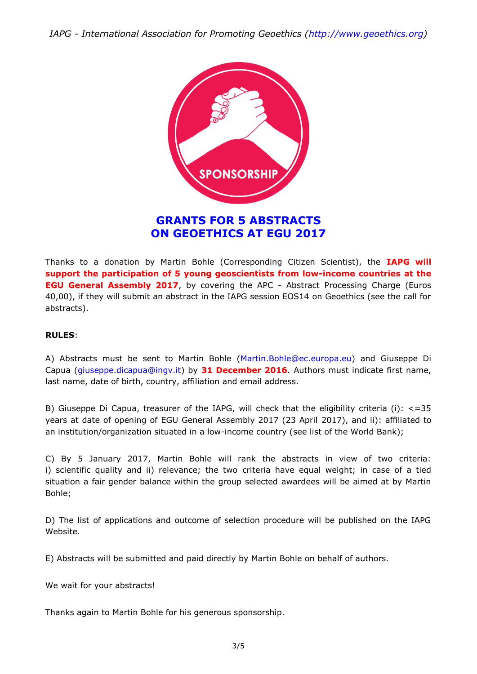*IAPG - International Association for Promoting Geoethics [\(http://www.geoethics.org\)](http://www.geoethics.org/)*



### **GRANTS FOR 5 ABSTRACTS ON GEOETHICS AT EGU 2017**

Thanks to a donation by Martin Bohle (Corresponding Citizen Scientist), the **IAPG will support the participation of 5 young geoscientists from low-income countries at the EGU General Assembly 2017**, by covering the APC - Abstract Processing Charge (Euros 40,00), if they will submit an abstract in the IAPG session EOS14 on Geoethics (see the call for abstracts).

#### **RULES**:

A) Abstracts must be sent to Martin Bohle [\(Martin.Bohle@ec.europa.eu\)](mailto:Martin.Bohle@ec.europa.eu?subject=EGU%202017%3A%20financial%20support%20-%20session%20EOS14) and Giuseppe Di Capua [\(giuseppe.dicapua@ingv.it\)](mailto:giuseppe.dicapua@ingv.it?subject=EGU%202017%3A%20financial%20support%20-%20session%20EOS14) by **31 December 2016**. Authors must indicate first name, last name, date of birth, country, affiliation and email address.

B) Giuseppe Di Capua, treasurer of the IAPG, will check that the eligibility criteria (i): <=35 years at date of opening of EGU General Assembly 2017 (23 April 2017), and ii): affiliated to an institution/organization situated in a low-income country (see list of the World Bank);

C) By 5 January 2017, Martin Bohle will rank the abstracts in view of two criteria: i) scientific quality and ii) relevance; the two criteria have equal weight; in case of a tied situation a fair gender balance within the group selected awardees will be aimed at by Martin Bohle;

D) The list of applications and outcome of selection procedure will be published on the IAPG Website.

E) Abstracts will be submitted and paid directly by Martin Bohle on behalf of authors.

We wait for your abstracts!

Thanks again to Martin Bohle for his generous sponsorship.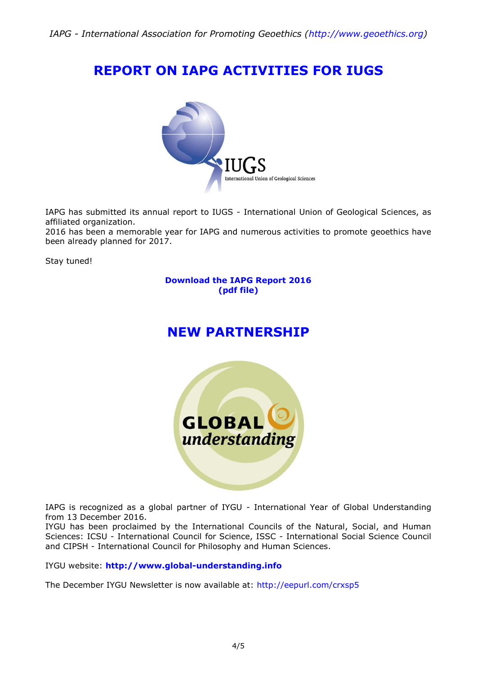# **REPORT ON IAPG ACTIVITIES FOR IUGS**



IAPG has submitted its annual report to IUGS - International Union of Geological Sciences, as affiliated organization.

2016 has been a memorable year for IAPG and numerous activities to promote geoethics have been already planned for 2017.

Stay tuned!

#### **[Download the IAPG Report 2016](http://media.wix.com/ugd/5195a5_6c1049d044eb42759d78f0643f16b9ae.pdf) [\(pdf file\)](http://media.wix.com/ugd/5195a5_6c1049d044eb42759d78f0643f16b9ae.pdf)**

## **NEW PARTNERSHIP**



IAPG is recognized as a global partner of IYGU - International Year of Global Understanding from 13 December 2016.

IYGU has been proclaimed by the International Councils of the Natural, Social, and Human Sciences: ICSU - International Council for Science, ISSC - International Social Science Council and CIPSH - International Council for Philosophy and Human Sciences.

IYGU website: **[http://www.global-understanding.info](http://www.global-understanding.info/)**

The December IYGU Newsletter is now available at:<http://eepurl.com/crxsp5>